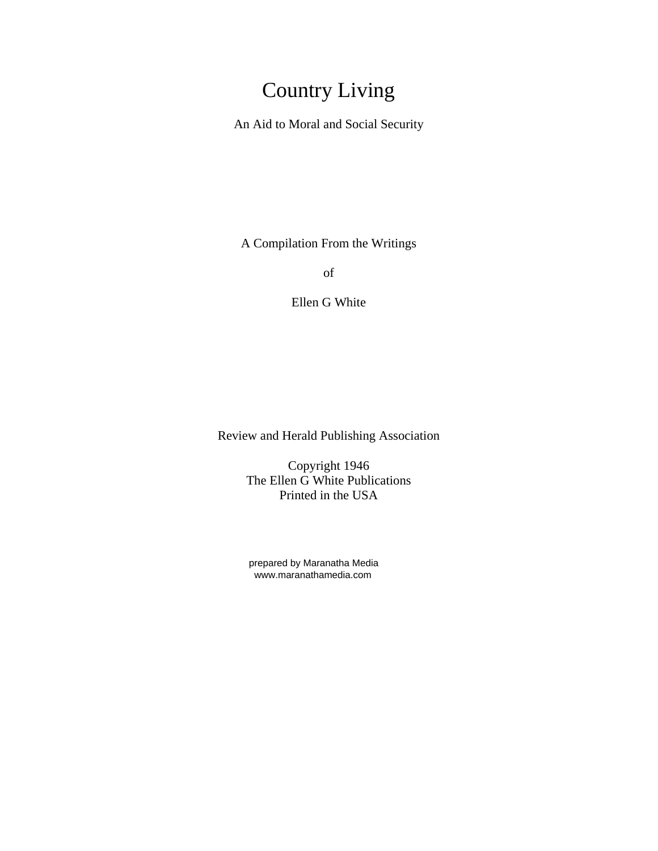# Country Living

An Aid to Moral and Social Security

A Compilation From the Writings

of

Ellen G White

Review and Herald Publishing Association

Copyright 1946 The Ellen G White Publications Printed in the USA

prepared by Maranatha Media www.maranathamedia.com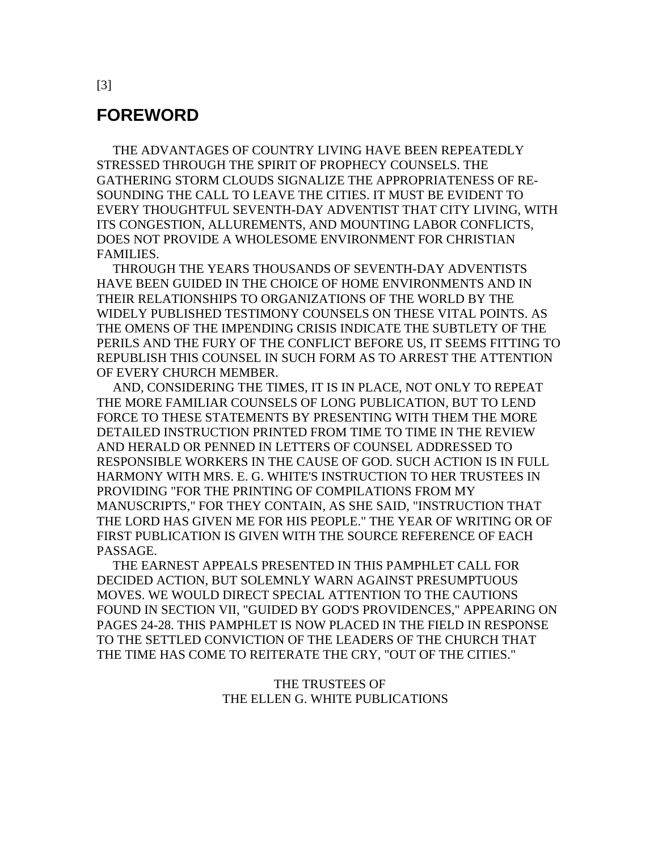# **FOREWORD**

 THE ADVANTAGES OF COUNTRY LIVING HAVE BEEN REPEATEDLY STRESSED THROUGH THE SPIRIT OF PROPHECY COUNSELS. THE GATHERING STORM CLOUDS SIGNALIZE THE APPROPRIATENESS OF RE-SOUNDING THE CALL TO LEAVE THE CITIES. IT MUST BE EVIDENT TO EVERY THOUGHTFUL SEVENTH-DAY ADVENTIST THAT CITY LIVING, WITH ITS CONGESTION, ALLUREMENTS, AND MOUNTING LABOR CONFLICTS, DOES NOT PROVIDE A WHOLESOME ENVIRONMENT FOR CHRISTIAN FAMILIES.

 THROUGH THE YEARS THOUSANDS OF SEVENTH-DAY ADVENTISTS HAVE BEEN GUIDED IN THE CHOICE OF HOME ENVIRONMENTS AND IN THEIR RELATIONSHIPS TO ORGANIZATIONS OF THE WORLD BY THE WIDELY PUBLISHED TESTIMONY COUNSELS ON THESE VITAL POINTS. AS THE OMENS OF THE IMPENDING CRISIS INDICATE THE SUBTLETY OF THE PERILS AND THE FURY OF THE CONFLICT BEFORE US, IT SEEMS FITTING TO REPUBLISH THIS COUNSEL IN SUCH FORM AS TO ARREST THE ATTENTION OF EVERY CHURCH MEMBER.

 AND, CONSIDERING THE TIMES, IT IS IN PLACE, NOT ONLY TO REPEAT THE MORE FAMILIAR COUNSELS OF LONG PUBLICATION, BUT TO LEND FORCE TO THESE STATEMENTS BY PRESENTING WITH THEM THE MORE DETAILED INSTRUCTION PRINTED FROM TIME TO TIME IN THE REVIEW AND HERALD OR PENNED IN LETTERS OF COUNSEL ADDRESSED TO RESPONSIBLE WORKERS IN THE CAUSE OF GOD. SUCH ACTION IS IN FULL HARMONY WITH MRS. E. G. WHITE'S INSTRUCTION TO HER TRUSTEES IN PROVIDING "FOR THE PRINTING OF COMPILATIONS FROM MY MANUSCRIPTS," FOR THEY CONTAIN, AS SHE SAID, "INSTRUCTION THAT THE LORD HAS GIVEN ME FOR HIS PEOPLE." THE YEAR OF WRITING OR OF FIRST PUBLICATION IS GIVEN WITH THE SOURCE REFERENCE OF EACH PASSAGE.

 THE EARNEST APPEALS PRESENTED IN THIS PAMPHLET CALL FOR DECIDED ACTION, BUT SOLEMNLY WARN AGAINST PRESUMPTUOUS MOVES. WE WOULD DIRECT SPECIAL ATTENTION TO THE CAUTIONS FOUND IN SECTION VII, "GUIDED BY GOD'S PROVIDENCES," APPEARING ON PAGES 24-28. THIS PAMPHLET IS NOW PLACED IN THE FIELD IN RESPONSE TO THE SETTLED CONVICTION OF THE LEADERS OF THE CHURCH THAT THE TIME HAS COME TO REITERATE THE CRY, "OUT OF THE CITIES."

> THE TRUSTEES OF THE ELLEN G. WHITE PUBLICATIONS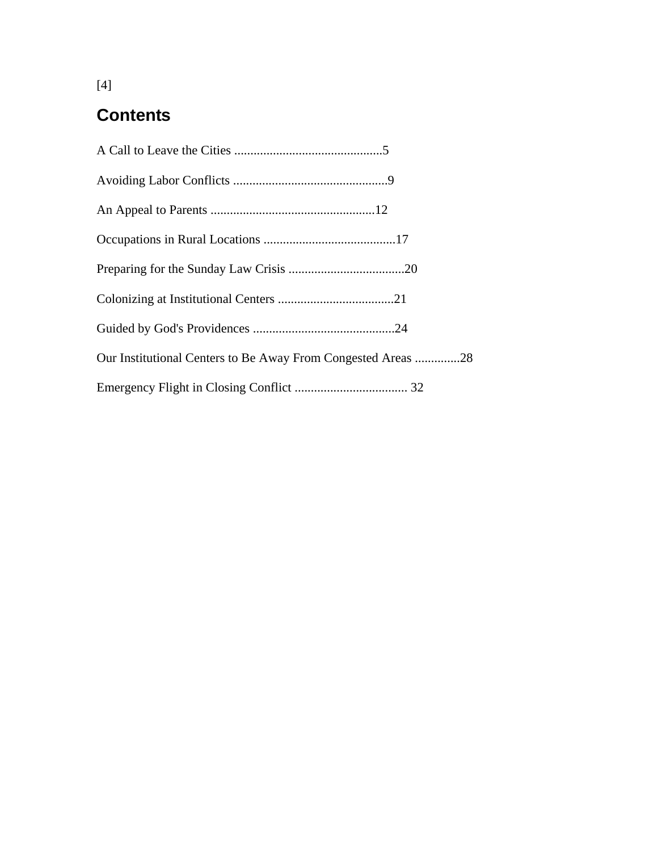# **Contents**

| Our Institutional Centers to Be Away From Congested Areas 28 |
|--------------------------------------------------------------|
|                                                              |

[4]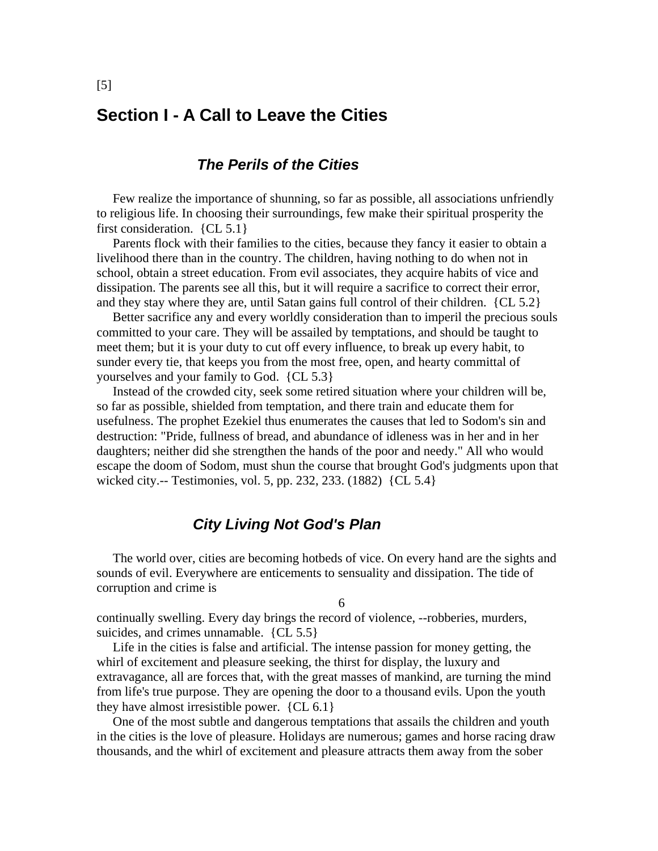## **Section I - A Call to Leave the Cities**

#### *The Perils of the Cities*

 Few realize the importance of shunning, so far as possible, all associations unfriendly to religious life. In choosing their surroundings, few make their spiritual prosperity the first consideration. {CL 5.1}

 Parents flock with their families to the cities, because they fancy it easier to obtain a livelihood there than in the country. The children, having nothing to do when not in school, obtain a street education. From evil associates, they acquire habits of vice and dissipation. The parents see all this, but it will require a sacrifice to correct their error, and they stay where they are, until Satan gains full control of their children. {CL 5.2}

 Better sacrifice any and every worldly consideration than to imperil the precious souls committed to your care. They will be assailed by temptations, and should be taught to meet them; but it is your duty to cut off every influence, to break up every habit, to sunder every tie, that keeps you from the most free, open, and hearty committal of yourselves and your family to God. {CL 5.3}

 Instead of the crowded city, seek some retired situation where your children will be, so far as possible, shielded from temptation, and there train and educate them for usefulness. The prophet Ezekiel thus enumerates the causes that led to Sodom's sin and destruction: "Pride, fullness of bread, and abundance of idleness was in her and in her daughters; neither did she strengthen the hands of the poor and needy." All who would escape the doom of Sodom, must shun the course that brought God's judgments upon that wicked city.-- Testimonies, vol. 5, pp. 232, 233. (1882) {CL 5.4}

### *City Living Not God's Plan*

 The world over, cities are becoming hotbeds of vice. On every hand are the sights and sounds of evil. Everywhere are enticements to sensuality and dissipation. The tide of corruption and crime is

6

continually swelling. Every day brings the record of violence, --robberies, murders, suicides, and crimes unnamable. {CL 5.5}

 Life in the cities is false and artificial. The intense passion for money getting, the whirl of excitement and pleasure seeking, the thirst for display, the luxury and extravagance, all are forces that, with the great masses of mankind, are turning the mind from life's true purpose. They are opening the door to a thousand evils. Upon the youth they have almost irresistible power.  ${CL 6.1}$ 

 One of the most subtle and dangerous temptations that assails the children and youth in the cities is the love of pleasure. Holidays are numerous; games and horse racing draw thousands, and the whirl of excitement and pleasure attracts them away from the sober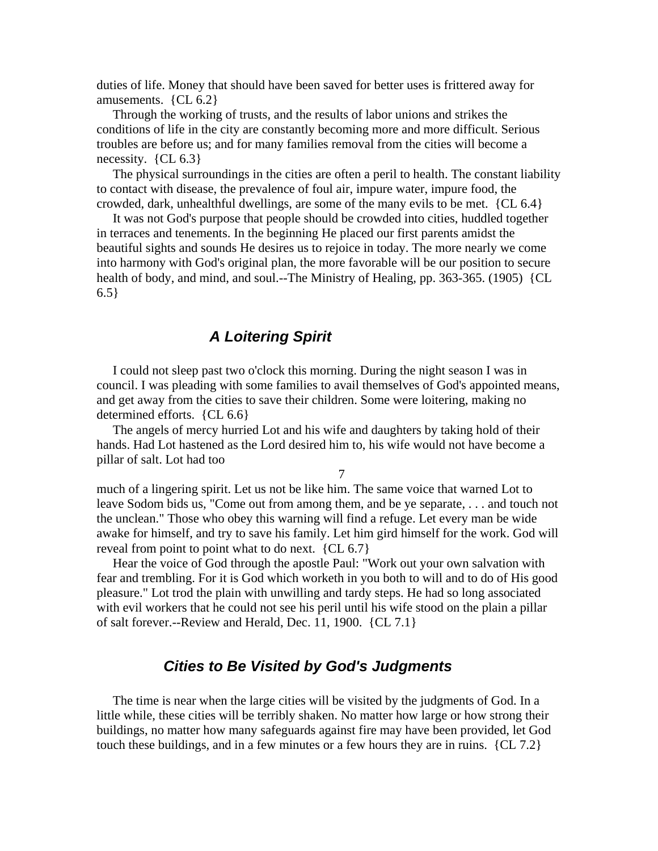duties of life. Money that should have been saved for better uses is frittered away for amusements. {CL 6.2}

 Through the working of trusts, and the results of labor unions and strikes the conditions of life in the city are constantly becoming more and more difficult. Serious troubles are before us; and for many families removal from the cities will become a necessity.  ${CL 6.3}$ 

 The physical surroundings in the cities are often a peril to health. The constant liability to contact with disease, the prevalence of foul air, impure water, impure food, the crowded, dark, unhealthful dwellings, are some of the many evils to be met. {CL 6.4}

 It was not God's purpose that people should be crowded into cities, huddled together in terraces and tenements. In the beginning He placed our first parents amidst the beautiful sights and sounds He desires us to rejoice in today. The more nearly we come into harmony with God's original plan, the more favorable will be our position to secure health of body, and mind, and soul.--The Ministry of Healing, pp. 363-365. (1905) {CL 6.5}

#### *A Loitering Spirit*

 I could not sleep past two o'clock this morning. During the night season I was in council. I was pleading with some families to avail themselves of God's appointed means, and get away from the cities to save their children. Some were loitering, making no determined efforts. {CL 6.6}

 The angels of mercy hurried Lot and his wife and daughters by taking hold of their hands. Had Lot hastened as the Lord desired him to, his wife would not have become a pillar of salt. Lot had too

7

much of a lingering spirit. Let us not be like him. The same voice that warned Lot to leave Sodom bids us, "Come out from among them, and be ye separate, . . . and touch not the unclean." Those who obey this warning will find a refuge. Let every man be wide awake for himself, and try to save his family. Let him gird himself for the work. God will reveal from point to point what to do next. {CL 6.7}

 Hear the voice of God through the apostle Paul: "Work out your own salvation with fear and trembling. For it is God which worketh in you both to will and to do of His good pleasure." Lot trod the plain with unwilling and tardy steps. He had so long associated with evil workers that he could not see his peril until his wife stood on the plain a pillar of salt forever.--Review and Herald, Dec. 11, 1900. {CL 7.1}

### *Cities to Be Visited by God's Judgments*

 The time is near when the large cities will be visited by the judgments of God. In a little while, these cities will be terribly shaken. No matter how large or how strong their buildings, no matter how many safeguards against fire may have been provided, let God touch these buildings, and in a few minutes or a few hours they are in ruins. {CL 7.2}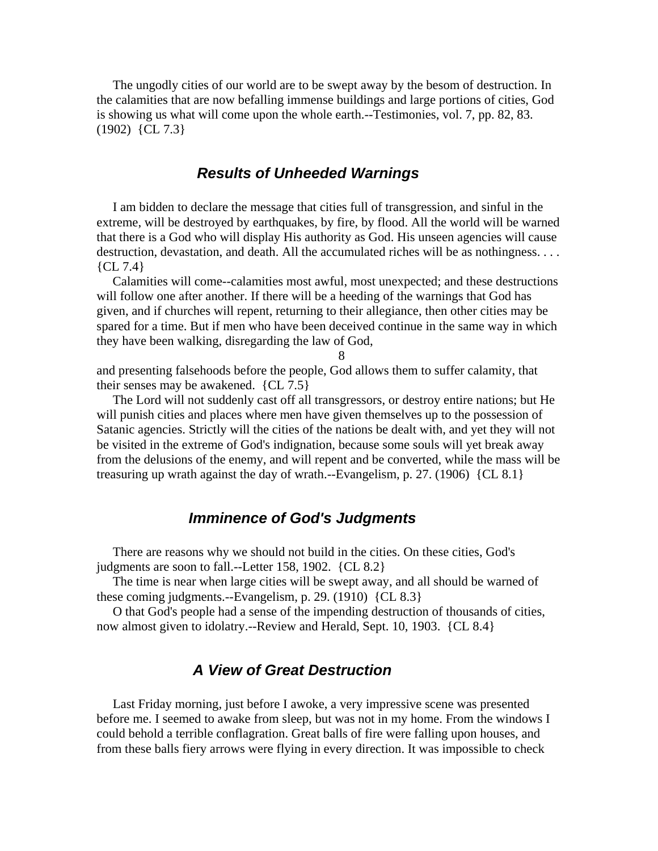The ungodly cities of our world are to be swept away by the besom of destruction. In the calamities that are now befalling immense buildings and large portions of cities, God is showing us what will come upon the whole earth.--Testimonies, vol. 7, pp. 82, 83. (1902) {CL 7.3}

#### *Results of Unheeded Warnings*

 I am bidden to declare the message that cities full of transgression, and sinful in the extreme, will be destroyed by earthquakes, by fire, by flood. All the world will be warned that there is a God who will display His authority as God. His unseen agencies will cause destruction, devastation, and death. All the accumulated riches will be as nothingness. . . .  ${CL}$  7.4}

 Calamities will come--calamities most awful, most unexpected; and these destructions will follow one after another. If there will be a heeding of the warnings that God has given, and if churches will repent, returning to their allegiance, then other cities may be spared for a time. But if men who have been deceived continue in the same way in which they have been walking, disregarding the law of God,

#### 8

and presenting falsehoods before the people, God allows them to suffer calamity, that their senses may be awakened.  ${CL 7.5}$ 

 The Lord will not suddenly cast off all transgressors, or destroy entire nations; but He will punish cities and places where men have given themselves up to the possession of Satanic agencies. Strictly will the cities of the nations be dealt with, and yet they will not be visited in the extreme of God's indignation, because some souls will yet break away from the delusions of the enemy, and will repent and be converted, while the mass will be treasuring up wrath against the day of wrath.--Evangelism, p. 27. (1906) {CL 8.1}

### *Imminence of God's Judgments*

 There are reasons why we should not build in the cities. On these cities, God's judgments are soon to fall.--Letter 158, 1902. {CL 8.2}

 The time is near when large cities will be swept away, and all should be warned of these coming judgments.--Evangelism, p. 29. (1910) {CL 8.3}

 O that God's people had a sense of the impending destruction of thousands of cities, now almost given to idolatry.--Review and Herald, Sept. 10, 1903. {CL 8.4}

### *A View of Great Destruction*

 Last Friday morning, just before I awoke, a very impressive scene was presented before me. I seemed to awake from sleep, but was not in my home. From the windows I could behold a terrible conflagration. Great balls of fire were falling upon houses, and from these balls fiery arrows were flying in every direction. It was impossible to check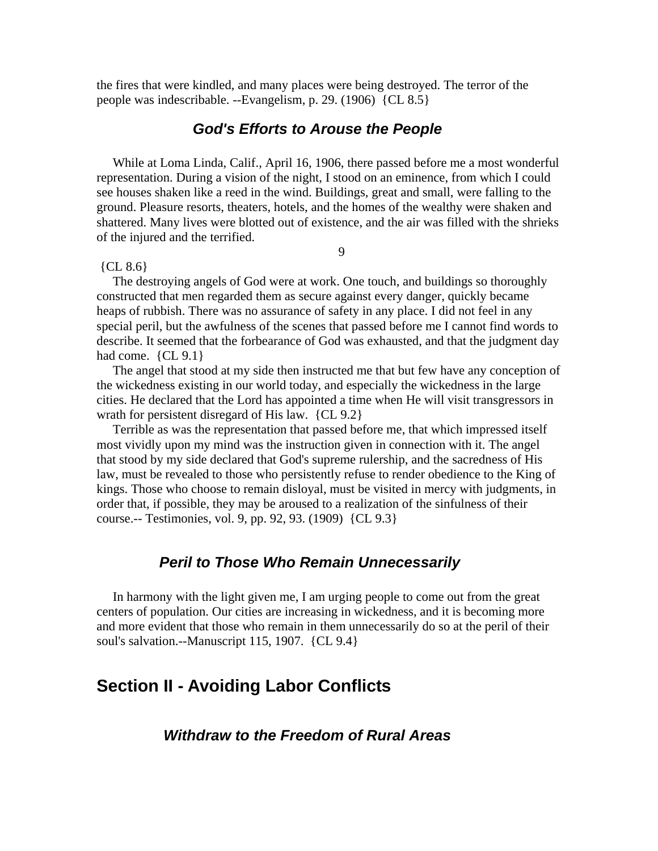the fires that were kindled, and many places were being destroyed. The terror of the people was indescribable. --Evangelism, p. 29. (1906) {CL 8.5}

#### *God's Efforts to Arouse the People*

 While at Loma Linda, Calif., April 16, 1906, there passed before me a most wonderful representation. During a vision of the night, I stood on an eminence, from which I could see houses shaken like a reed in the wind. Buildings, great and small, were falling to the ground. Pleasure resorts, theaters, hotels, and the homes of the wealthy were shaken and shattered. Many lives were blotted out of existence, and the air was filled with the shrieks of the injured and the terrified.

#### {CL 8.6}

9

 The destroying angels of God were at work. One touch, and buildings so thoroughly constructed that men regarded them as secure against every danger, quickly became heaps of rubbish. There was no assurance of safety in any place. I did not feel in any special peril, but the awfulness of the scenes that passed before me I cannot find words to describe. It seemed that the forbearance of God was exhausted, and that the judgment day had come.  ${CL 9.1}$ 

 The angel that stood at my side then instructed me that but few have any conception of the wickedness existing in our world today, and especially the wickedness in the large cities. He declared that the Lord has appointed a time when He will visit transgressors in wrath for persistent disregard of His law. {CL 9.2}

 Terrible as was the representation that passed before me, that which impressed itself most vividly upon my mind was the instruction given in connection with it. The angel that stood by my side declared that God's supreme rulership, and the sacredness of His law, must be revealed to those who persistently refuse to render obedience to the King of kings. Those who choose to remain disloyal, must be visited in mercy with judgments, in order that, if possible, they may be aroused to a realization of the sinfulness of their course.-- Testimonies, vol. 9, pp. 92, 93. (1909) {CL 9.3}

### *Peril to Those Who Remain Unnecessarily*

 In harmony with the light given me, I am urging people to come out from the great centers of population. Our cities are increasing in wickedness, and it is becoming more and more evident that those who remain in them unnecessarily do so at the peril of their soul's salvation.--Manuscript 115, 1907. {CL 9.4}

## **Section II - Avoiding Labor Conflicts**

### *Withdraw to the Freedom of Rural Areas*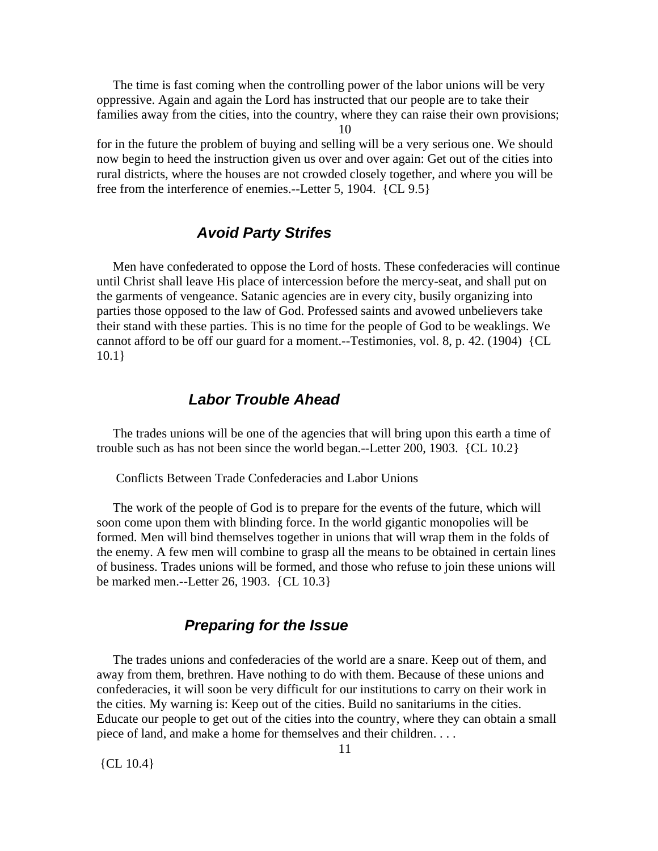The time is fast coming when the controlling power of the labor unions will be very oppressive. Again and again the Lord has instructed that our people are to take their families away from the cities, into the country, where they can raise their own provisions; 10

for in the future the problem of buying and selling will be a very serious one. We should now begin to heed the instruction given us over and over again: Get out of the cities into rural districts, where the houses are not crowded closely together, and where you will be free from the interference of enemies.--Letter 5, 1904. {CL 9.5}

### *Avoid Party Strifes*

 Men have confederated to oppose the Lord of hosts. These confederacies will continue until Christ shall leave His place of intercession before the mercy-seat, and shall put on the garments of vengeance. Satanic agencies are in every city, busily organizing into parties those opposed to the law of God. Professed saints and avowed unbelievers take their stand with these parties. This is no time for the people of God to be weaklings. We cannot afford to be off our guard for a moment.--Testimonies, vol. 8, p. 42. (1904) {CL 10.1}

### *Labor Trouble Ahead*

 The trades unions will be one of the agencies that will bring upon this earth a time of trouble such as has not been since the world began.--Letter 200, 1903. {CL 10.2}

Conflicts Between Trade Confederacies and Labor Unions

 The work of the people of God is to prepare for the events of the future, which will soon come upon them with blinding force. In the world gigantic monopolies will be formed. Men will bind themselves together in unions that will wrap them in the folds of the enemy. A few men will combine to grasp all the means to be obtained in certain lines of business. Trades unions will be formed, and those who refuse to join these unions will be marked men.--Letter 26, 1903. {CL 10.3}

#### *Preparing for the Issue*

 The trades unions and confederacies of the world are a snare. Keep out of them, and away from them, brethren. Have nothing to do with them. Because of these unions and confederacies, it will soon be very difficult for our institutions to carry on their work in the cities. My warning is: Keep out of the cities. Build no sanitariums in the cities. Educate our people to get out of the cities into the country, where they can obtain a small piece of land, and make a home for themselves and their children. . . .

 ${CL 10.4}$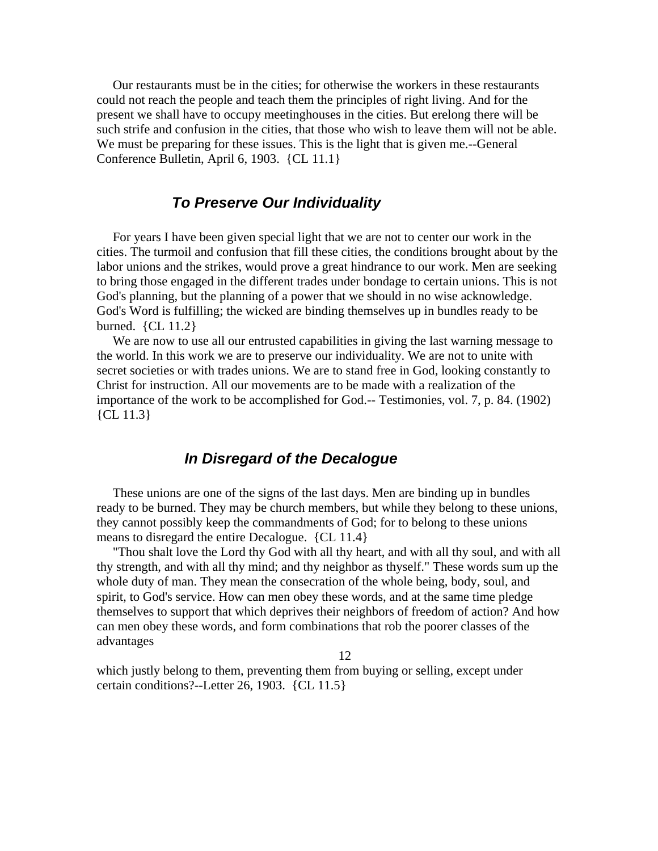Our restaurants must be in the cities; for otherwise the workers in these restaurants could not reach the people and teach them the principles of right living. And for the present we shall have to occupy meetinghouses in the cities. But erelong there will be such strife and confusion in the cities, that those who wish to leave them will not be able. We must be preparing for these issues. This is the light that is given me.--General Conference Bulletin, April 6, 1903. {CL 11.1}

### *To Preserve Our Individuality*

 For years I have been given special light that we are not to center our work in the cities. The turmoil and confusion that fill these cities, the conditions brought about by the labor unions and the strikes, would prove a great hindrance to our work. Men are seeking to bring those engaged in the different trades under bondage to certain unions. This is not God's planning, but the planning of a power that we should in no wise acknowledge. God's Word is fulfilling; the wicked are binding themselves up in bundles ready to be burned. {CL 11.2}

 We are now to use all our entrusted capabilities in giving the last warning message to the world. In this work we are to preserve our individuality. We are not to unite with secret societies or with trades unions. We are to stand free in God, looking constantly to Christ for instruction. All our movements are to be made with a realization of the importance of the work to be accomplished for God.-- Testimonies, vol. 7, p. 84. (1902) {CL 11.3}

#### *In Disregard of the Decalogue*

 These unions are one of the signs of the last days. Men are binding up in bundles ready to be burned. They may be church members, but while they belong to these unions, they cannot possibly keep the commandments of God; for to belong to these unions means to disregard the entire Decalogue. {CL 11.4}

 "Thou shalt love the Lord thy God with all thy heart, and with all thy soul, and with all thy strength, and with all thy mind; and thy neighbor as thyself." These words sum up the whole duty of man. They mean the consecration of the whole being, body, soul, and spirit, to God's service. How can men obey these words, and at the same time pledge themselves to support that which deprives their neighbors of freedom of action? And how can men obey these words, and form combinations that rob the poorer classes of the advantages

12

which justly belong to them, preventing them from buying or selling, except under certain conditions?--Letter 26, 1903. {CL 11.5}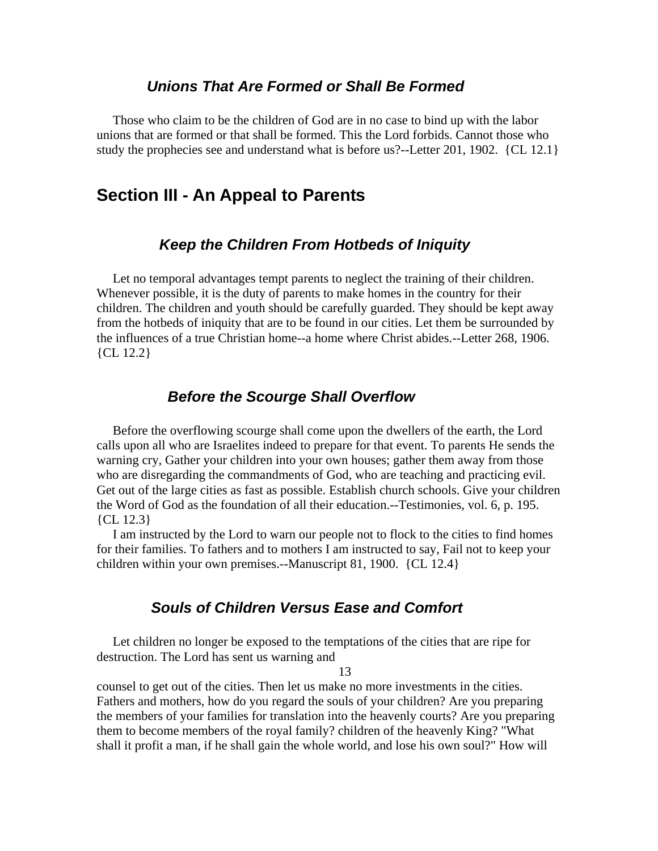#### *Unions That Are Formed or Shall Be Formed*

 Those who claim to be the children of God are in no case to bind up with the labor unions that are formed or that shall be formed. This the Lord forbids. Cannot those who study the prophecies see and understand what is before us?--Letter 201, 1902. {CL 12.1}

## **Section III - An Appeal to Parents**

### *Keep the Children From Hotbeds of Iniquity*

 Let no temporal advantages tempt parents to neglect the training of their children. Whenever possible, it is the duty of parents to make homes in the country for their children. The children and youth should be carefully guarded. They should be kept away from the hotbeds of iniquity that are to be found in our cities. Let them be surrounded by the influences of a true Christian home--a home where Christ abides.--Letter 268, 1906.  ${CL 12.2}$ 

#### *Before the Scourge Shall Overflow*

 Before the overflowing scourge shall come upon the dwellers of the earth, the Lord calls upon all who are Israelites indeed to prepare for that event. To parents He sends the warning cry, Gather your children into your own houses; gather them away from those who are disregarding the commandments of God, who are teaching and practicing evil. Get out of the large cities as fast as possible. Establish church schools. Give your children the Word of God as the foundation of all their education.--Testimonies, vol. 6, p. 195.  ${CL 12.3}$ 

 I am instructed by the Lord to warn our people not to flock to the cities to find homes for their families. To fathers and to mothers I am instructed to say, Fail not to keep your children within your own premises.--Manuscript 81, 1900. {CL 12.4}

### *Souls of Children Versus Ease and Comfort*

 Let children no longer be exposed to the temptations of the cities that are ripe for destruction. The Lord has sent us warning and

13

counsel to get out of the cities. Then let us make no more investments in the cities. Fathers and mothers, how do you regard the souls of your children? Are you preparing the members of your families for translation into the heavenly courts? Are you preparing them to become members of the royal family? children of the heavenly King? "What shall it profit a man, if he shall gain the whole world, and lose his own soul?" How will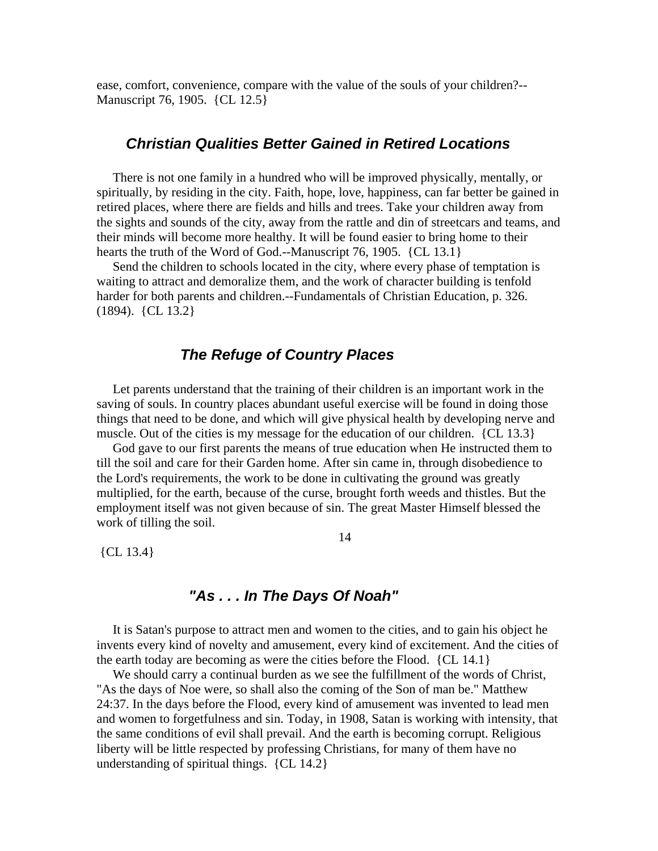ease, comfort, convenience, compare with the value of the souls of your children?-- Manuscript 76, 1905. {CL 12.5}

#### *Christian Qualities Better Gained in Retired Locations*

 There is not one family in a hundred who will be improved physically, mentally, or spiritually, by residing in the city. Faith, hope, love, happiness, can far better be gained in retired places, where there are fields and hills and trees. Take your children away from the sights and sounds of the city, away from the rattle and din of streetcars and teams, and their minds will become more healthy. It will be found easier to bring home to their hearts the truth of the Word of God.--Manuscript 76, 1905. {CL 13.1}

 Send the children to schools located in the city, where every phase of temptation is waiting to attract and demoralize them, and the work of character building is tenfold harder for both parents and children.--Fundamentals of Christian Education, p. 326. (1894). {CL 13.2}

#### *The Refuge of Country Places*

 Let parents understand that the training of their children is an important work in the saving of souls. In country places abundant useful exercise will be found in doing those things that need to be done, and which will give physical health by developing nerve and muscle. Out of the cities is my message for the education of our children. {CL 13.3}

 God gave to our first parents the means of true education when He instructed them to till the soil and care for their Garden home. After sin came in, through disobedience to the Lord's requirements, the work to be done in cultivating the ground was greatly multiplied, for the earth, because of the curse, brought forth weeds and thistles. But the employment itself was not given because of sin. The great Master Himself blessed the work of tilling the soil.

14

 ${CL 13.4}$ 

### *"As . . . In The Days Of Noah"*

 It is Satan's purpose to attract men and women to the cities, and to gain his object he invents every kind of novelty and amusement, every kind of excitement. And the cities of the earth today are becoming as were the cities before the Flood. {CL 14.1}

 We should carry a continual burden as we see the fulfillment of the words of Christ, "As the days of Noe were, so shall also the coming of the Son of man be." Matthew 24:37. In the days before the Flood, every kind of amusement was invented to lead men and women to forgetfulness and sin. Today, in 1908, Satan is working with intensity, that the same conditions of evil shall prevail. And the earth is becoming corrupt. Religious liberty will be little respected by professing Christians, for many of them have no understanding of spiritual things. {CL 14.2}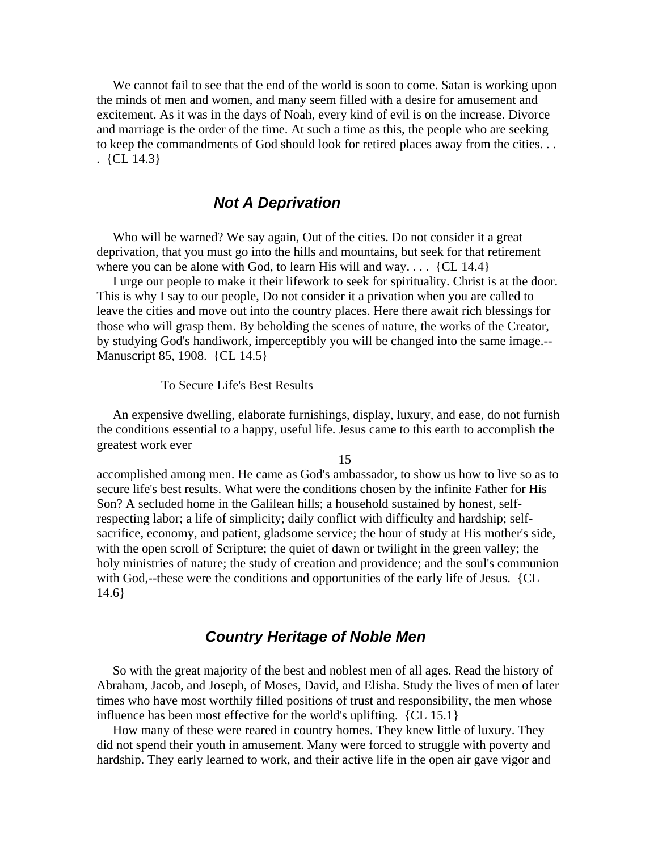We cannot fail to see that the end of the world is soon to come. Satan is working upon the minds of men and women, and many seem filled with a desire for amusement and excitement. As it was in the days of Noah, every kind of evil is on the increase. Divorce and marriage is the order of the time. At such a time as this, the people who are seeking to keep the commandments of God should look for retired places away from the cities. . . .  ${CL}$  14.3}

#### *Not A Deprivation*

 Who will be warned? We say again, Out of the cities. Do not consider it a great deprivation, that you must go into the hills and mountains, but seek for that retirement where you can be alone with God, to learn His will and way....  $\{CL\ 14.4\}$ 

 I urge our people to make it their lifework to seek for spirituality. Christ is at the door. This is why I say to our people, Do not consider it a privation when you are called to leave the cities and move out into the country places. Here there await rich blessings for those who will grasp them. By beholding the scenes of nature, the works of the Creator, by studying God's handiwork, imperceptibly you will be changed into the same image.-- Manuscript 85, 1908. {CL 14.5}

To Secure Life's Best Results

 An expensive dwelling, elaborate furnishings, display, luxury, and ease, do not furnish the conditions essential to a happy, useful life. Jesus came to this earth to accomplish the greatest work ever

15

accomplished among men. He came as God's ambassador, to show us how to live so as to secure life's best results. What were the conditions chosen by the infinite Father for His Son? A secluded home in the Galilean hills; a household sustained by honest, selfrespecting labor; a life of simplicity; daily conflict with difficulty and hardship; selfsacrifice, economy, and patient, gladsome service; the hour of study at His mother's side, with the open scroll of Scripture; the quiet of dawn or twilight in the green valley; the holy ministries of nature; the study of creation and providence; and the soul's communion with God,--these were the conditions and opportunities of the early life of Jesus. {CL 14.6}

#### *Country Heritage of Noble Men*

 So with the great majority of the best and noblest men of all ages. Read the history of Abraham, Jacob, and Joseph, of Moses, David, and Elisha. Study the lives of men of later times who have most worthily filled positions of trust and responsibility, the men whose influence has been most effective for the world's uplifting. {CL 15.1}

 How many of these were reared in country homes. They knew little of luxury. They did not spend their youth in amusement. Many were forced to struggle with poverty and hardship. They early learned to work, and their active life in the open air gave vigor and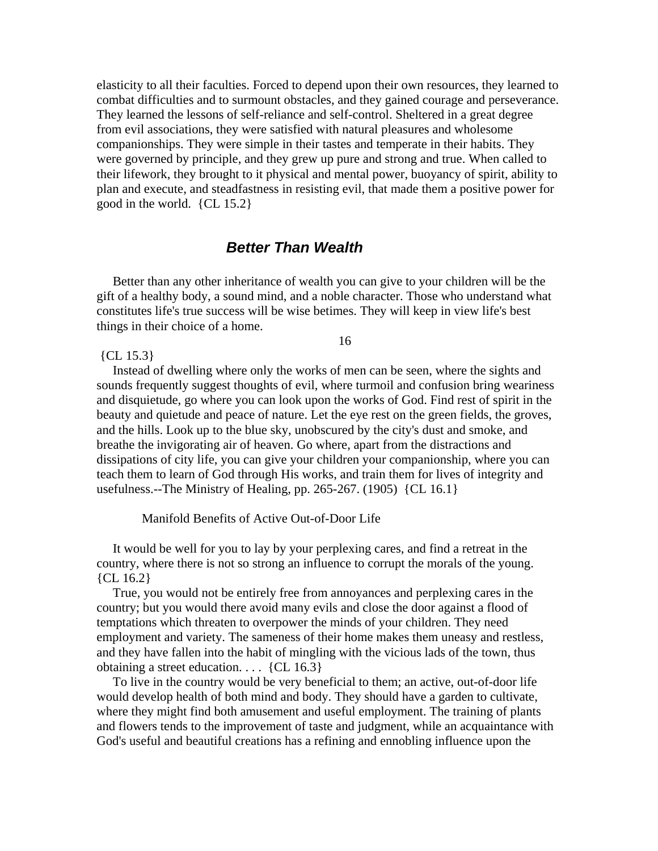elasticity to all their faculties. Forced to depend upon their own resources, they learned to combat difficulties and to surmount obstacles, and they gained courage and perseverance. They learned the lessons of self-reliance and self-control. Sheltered in a great degree from evil associations, they were satisfied with natural pleasures and wholesome companionships. They were simple in their tastes and temperate in their habits. They were governed by principle, and they grew up pure and strong and true. When called to their lifework, they brought to it physical and mental power, buoyancy of spirit, ability to plan and execute, and steadfastness in resisting evil, that made them a positive power for good in the world. {CL 15.2}

#### *Better Than Wealth*

 Better than any other inheritance of wealth you can give to your children will be the gift of a healthy body, a sound mind, and a noble character. Those who understand what constitutes life's true success will be wise betimes. They will keep in view life's best things in their choice of a home.

#### 16

#### ${CL 15.3}$

 Instead of dwelling where only the works of men can be seen, where the sights and sounds frequently suggest thoughts of evil, where turmoil and confusion bring weariness and disquietude, go where you can look upon the works of God. Find rest of spirit in the beauty and quietude and peace of nature. Let the eye rest on the green fields, the groves, and the hills. Look up to the blue sky, unobscured by the city's dust and smoke, and breathe the invigorating air of heaven. Go where, apart from the distractions and dissipations of city life, you can give your children your companionship, where you can teach them to learn of God through His works, and train them for lives of integrity and usefulness.--The Ministry of Healing, pp. 265-267. (1905) {CL 16.1}

Manifold Benefits of Active Out-of-Door Life

 It would be well for you to lay by your perplexing cares, and find a retreat in the country, where there is not so strong an influence to corrupt the morals of the young.  ${CL 16.2}$ 

 True, you would not be entirely free from annoyances and perplexing cares in the country; but you would there avoid many evils and close the door against a flood of temptations which threaten to overpower the minds of your children. They need employment and variety. The sameness of their home makes them uneasy and restless, and they have fallen into the habit of mingling with the vicious lads of the town, thus obtaining a street education. . . . {CL 16.3}

 To live in the country would be very beneficial to them; an active, out-of-door life would develop health of both mind and body. They should have a garden to cultivate, where they might find both amusement and useful employment. The training of plants and flowers tends to the improvement of taste and judgment, while an acquaintance with God's useful and beautiful creations has a refining and ennobling influence upon the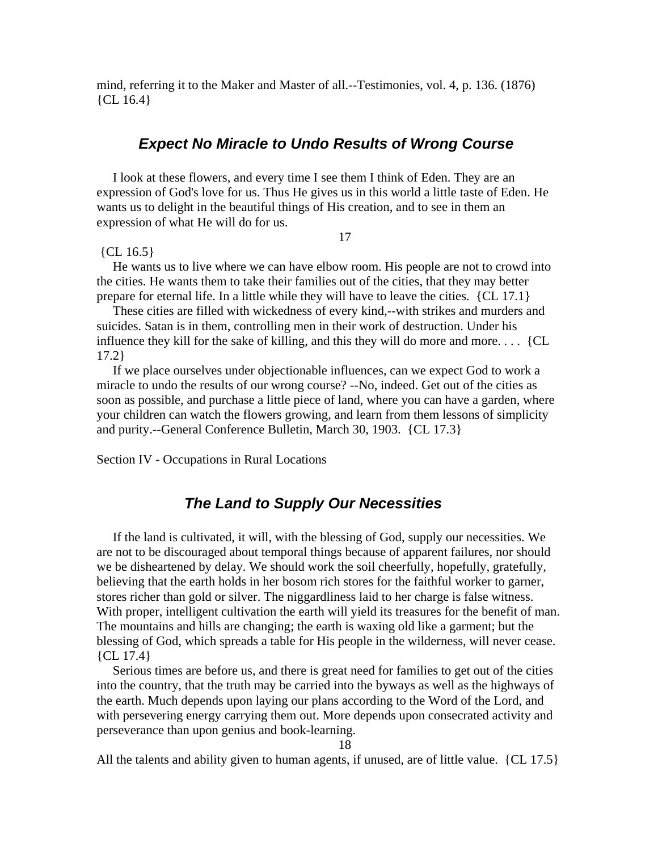mind, referring it to the Maker and Master of all.--Testimonies, vol. 4, p. 136. (1876)  ${CL 16.4}$ 

#### *Expect No Miracle to Undo Results of Wrong Course*

 I look at these flowers, and every time I see them I think of Eden. They are an expression of God's love for us. Thus He gives us in this world a little taste of Eden. He wants us to delight in the beautiful things of His creation, and to see in them an expression of what He will do for us.

17

#### ${CL}$  16.5}

 He wants us to live where we can have elbow room. His people are not to crowd into the cities. He wants them to take their families out of the cities, that they may better prepare for eternal life. In a little while they will have to leave the cities. {CL 17.1}

 These cities are filled with wickedness of every kind,--with strikes and murders and suicides. Satan is in them, controlling men in their work of destruction. Under his influence they kill for the sake of killing, and this they will do more and more. . . . {CL 17.2}

 If we place ourselves under objectionable influences, can we expect God to work a miracle to undo the results of our wrong course? --No, indeed. Get out of the cities as soon as possible, and purchase a little piece of land, where you can have a garden, where your children can watch the flowers growing, and learn from them lessons of simplicity and purity.--General Conference Bulletin, March 30, 1903. {CL 17.3}

Section IV - Occupations in Rural Locations

### *The Land to Supply Our Necessities*

 If the land is cultivated, it will, with the blessing of God, supply our necessities. We are not to be discouraged about temporal things because of apparent failures, nor should we be disheartened by delay. We should work the soil cheerfully, hopefully, gratefully, believing that the earth holds in her bosom rich stores for the faithful worker to garner, stores richer than gold or silver. The niggardliness laid to her charge is false witness. With proper, intelligent cultivation the earth will yield its treasures for the benefit of man. The mountains and hills are changing; the earth is waxing old like a garment; but the blessing of God, which spreads a table for His people in the wilderness, will never cease.  ${CL}$  17.4}

 Serious times are before us, and there is great need for families to get out of the cities into the country, that the truth may be carried into the byways as well as the highways of the earth. Much depends upon laying our plans according to the Word of the Lord, and with persevering energy carrying them out. More depends upon consecrated activity and perseverance than upon genius and book-learning.

18

All the talents and ability given to human agents, if unused, are of little value. {CL 17.5}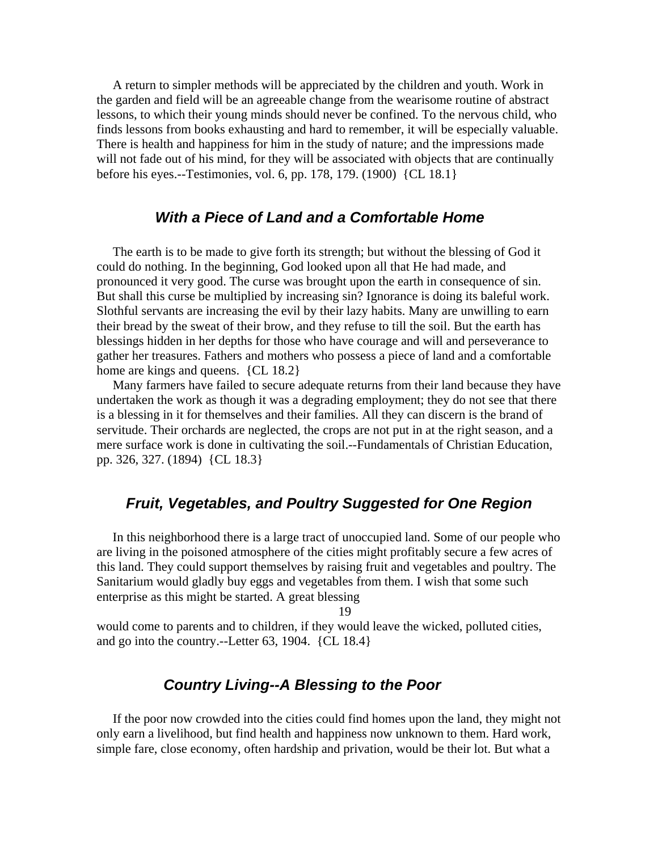A return to simpler methods will be appreciated by the children and youth. Work in the garden and field will be an agreeable change from the wearisome routine of abstract lessons, to which their young minds should never be confined. To the nervous child, who finds lessons from books exhausting and hard to remember, it will be especially valuable. There is health and happiness for him in the study of nature; and the impressions made will not fade out of his mind, for they will be associated with objects that are continually before his eyes.--Testimonies, vol. 6, pp. 178, 179. (1900) {CL 18.1}

### *With a Piece of Land and a Comfortable Home*

 The earth is to be made to give forth its strength; but without the blessing of God it could do nothing. In the beginning, God looked upon all that He had made, and pronounced it very good. The curse was brought upon the earth in consequence of sin. But shall this curse be multiplied by increasing sin? Ignorance is doing its baleful work. Slothful servants are increasing the evil by their lazy habits. Many are unwilling to earn their bread by the sweat of their brow, and they refuse to till the soil. But the earth has blessings hidden in her depths for those who have courage and will and perseverance to gather her treasures. Fathers and mothers who possess a piece of land and a comfortable home are kings and queens. {CL 18.2}

 Many farmers have failed to secure adequate returns from their land because they have undertaken the work as though it was a degrading employment; they do not see that there is a blessing in it for themselves and their families. All they can discern is the brand of servitude. Their orchards are neglected, the crops are not put in at the right season, and a mere surface work is done in cultivating the soil.--Fundamentals of Christian Education, pp. 326, 327. (1894) {CL 18.3}

### *Fruit, Vegetables, and Poultry Suggested for One Region*

 In this neighborhood there is a large tract of unoccupied land. Some of our people who are living in the poisoned atmosphere of the cities might profitably secure a few acres of this land. They could support themselves by raising fruit and vegetables and poultry. The Sanitarium would gladly buy eggs and vegetables from them. I wish that some such enterprise as this might be started. A great blessing

19

would come to parents and to children, if they would leave the wicked, polluted cities, and go into the country.--Letter 63, 1904. {CL 18.4}

### *Country Living--A Blessing to the Poor*

 If the poor now crowded into the cities could find homes upon the land, they might not only earn a livelihood, but find health and happiness now unknown to them. Hard work, simple fare, close economy, often hardship and privation, would be their lot. But what a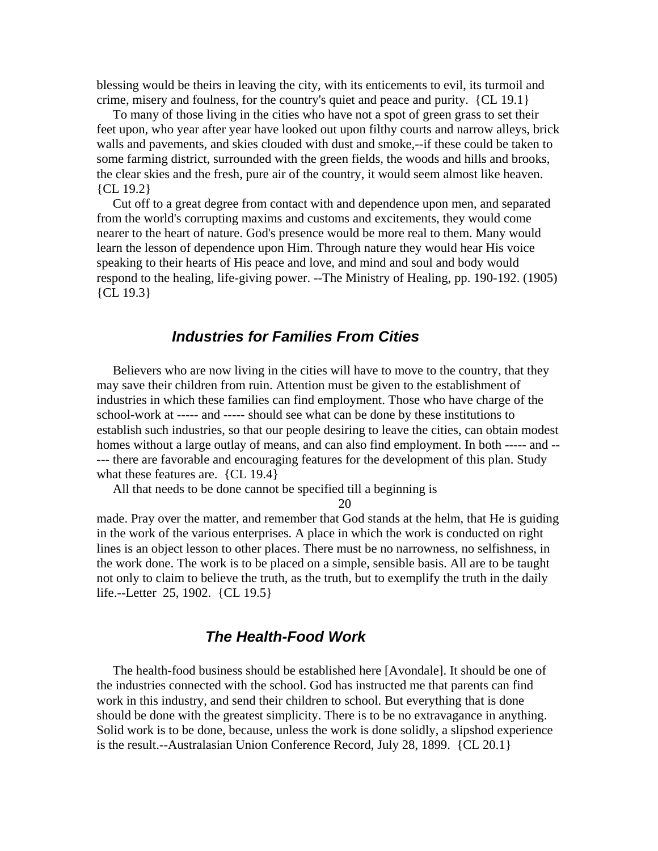blessing would be theirs in leaving the city, with its enticements to evil, its turmoil and crime, misery and foulness, for the country's quiet and peace and purity. {CL 19.1}

 To many of those living in the cities who have not a spot of green grass to set their feet upon, who year after year have looked out upon filthy courts and narrow alleys, brick walls and pavements, and skies clouded with dust and smoke,--if these could be taken to some farming district, surrounded with the green fields, the woods and hills and brooks, the clear skies and the fresh, pure air of the country, it would seem almost like heaven. {CL 19.2}

 Cut off to a great degree from contact with and dependence upon men, and separated from the world's corrupting maxims and customs and excitements, they would come nearer to the heart of nature. God's presence would be more real to them. Many would learn the lesson of dependence upon Him. Through nature they would hear His voice speaking to their hearts of His peace and love, and mind and soul and body would respond to the healing, life-giving power. --The Ministry of Healing, pp. 190-192. (1905)  ${CL 19.3}$ 

#### *Industries for Families From Cities*

 Believers who are now living in the cities will have to move to the country, that they may save their children from ruin. Attention must be given to the establishment of industries in which these families can find employment. Those who have charge of the school-work at ----- and ----- should see what can be done by these institutions to establish such industries, so that our people desiring to leave the cities, can obtain modest homes without a large outlay of means, and can also find employment. In both ----- and -- --- there are favorable and encouraging features for the development of this plan. Study what these features are. {CL 19.4}

All that needs to be done cannot be specified till a beginning is

20

made. Pray over the matter, and remember that God stands at the helm, that He is guiding in the work of the various enterprises. A place in which the work is conducted on right lines is an object lesson to other places. There must be no narrowness, no selfishness, in the work done. The work is to be placed on a simple, sensible basis. All are to be taught not only to claim to believe the truth, as the truth, but to exemplify the truth in the daily life.--Letter 25, 1902. {CL 19.5}

#### *The Health-Food Work*

 The health-food business should be established here [Avondale]. It should be one of the industries connected with the school. God has instructed me that parents can find work in this industry, and send their children to school. But everything that is done should be done with the greatest simplicity. There is to be no extravagance in anything. Solid work is to be done, because, unless the work is done solidly, a slipshod experience is the result.--Australasian Union Conference Record, July 28, 1899. {CL 20.1}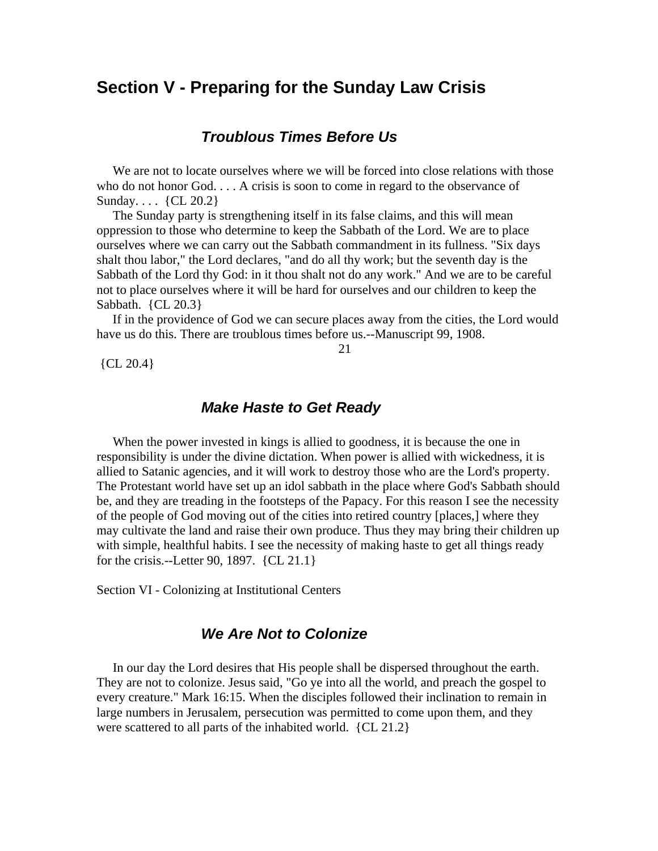## **Section V - Preparing for the Sunday Law Crisis**

### *Troublous Times Before Us*

 We are not to locate ourselves where we will be forced into close relations with those who do not honor God. . . . A crisis is soon to come in regard to the observance of Sunday. . . . {CL 20.2}

 The Sunday party is strengthening itself in its false claims, and this will mean oppression to those who determine to keep the Sabbath of the Lord. We are to place ourselves where we can carry out the Sabbath commandment in its fullness. "Six days shalt thou labor," the Lord declares, "and do all thy work; but the seventh day is the Sabbath of the Lord thy God: in it thou shalt not do any work." And we are to be careful not to place ourselves where it will be hard for ourselves and our children to keep the Sabbath. {CL 20.3}

 If in the providence of God we can secure places away from the cities, the Lord would have us do this. There are troublous times before us.--Manuscript 99, 1908.

21

 ${CL 20.4}$ 

### *Make Haste to Get Ready*

 When the power invested in kings is allied to goodness, it is because the one in responsibility is under the divine dictation. When power is allied with wickedness, it is allied to Satanic agencies, and it will work to destroy those who are the Lord's property. The Protestant world have set up an idol sabbath in the place where God's Sabbath should be, and they are treading in the footsteps of the Papacy. For this reason I see the necessity of the people of God moving out of the cities into retired country [places,] where they may cultivate the land and raise their own produce. Thus they may bring their children up with simple, healthful habits. I see the necessity of making haste to get all things ready for the crisis.--Letter 90, 1897. {CL 21.1}

Section VI - Colonizing at Institutional Centers

#### *We Are Not to Colonize*

 In our day the Lord desires that His people shall be dispersed throughout the earth. They are not to colonize. Jesus said, "Go ye into all the world, and preach the gospel to every creature." Mark 16:15. When the disciples followed their inclination to remain in large numbers in Jerusalem, persecution was permitted to come upon them, and they were scattered to all parts of the inhabited world. {CL 21.2}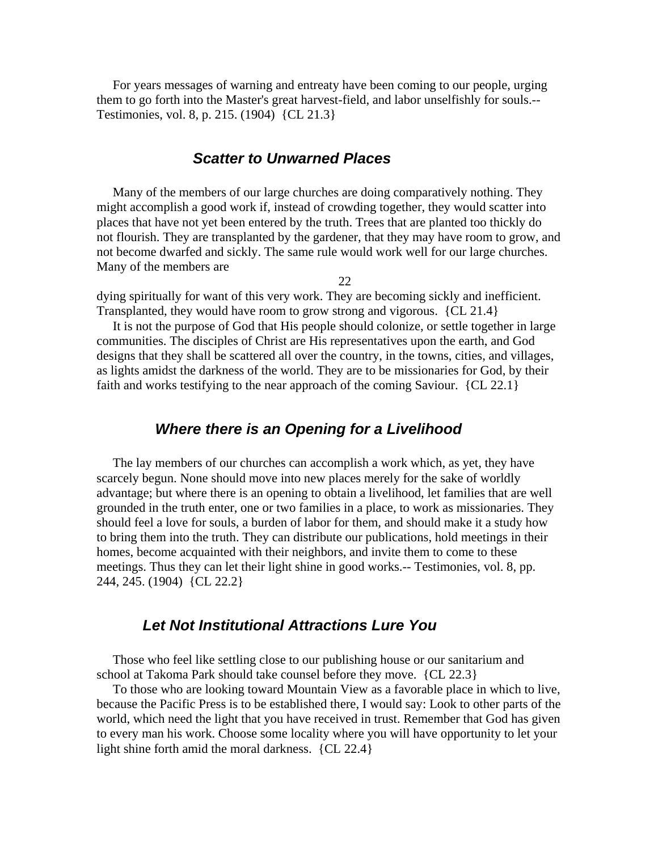For years messages of warning and entreaty have been coming to our people, urging them to go forth into the Master's great harvest-field, and labor unselfishly for souls.-- Testimonies, vol. 8, p. 215. (1904) {CL 21.3}

#### *Scatter to Unwarned Places*

 Many of the members of our large churches are doing comparatively nothing. They might accomplish a good work if, instead of crowding together, they would scatter into places that have not yet been entered by the truth. Trees that are planted too thickly do not flourish. They are transplanted by the gardener, that they may have room to grow, and not become dwarfed and sickly. The same rule would work well for our large churches. Many of the members are

22

dying spiritually for want of this very work. They are becoming sickly and inefficient. Transplanted, they would have room to grow strong and vigorous. {CL 21.4}

 It is not the purpose of God that His people should colonize, or settle together in large communities. The disciples of Christ are His representatives upon the earth, and God designs that they shall be scattered all over the country, in the towns, cities, and villages, as lights amidst the darkness of the world. They are to be missionaries for God, by their faith and works testifying to the near approach of the coming Saviour. {CL 22.1}

### *Where there is an Opening for a Livelihood*

 The lay members of our churches can accomplish a work which, as yet, they have scarcely begun. None should move into new places merely for the sake of worldly advantage; but where there is an opening to obtain a livelihood, let families that are well grounded in the truth enter, one or two families in a place, to work as missionaries. They should feel a love for souls, a burden of labor for them, and should make it a study how to bring them into the truth. They can distribute our publications, hold meetings in their homes, become acquainted with their neighbors, and invite them to come to these meetings. Thus they can let their light shine in good works.-- Testimonies, vol. 8, pp. 244, 245. (1904) {CL 22.2}

#### *Let Not Institutional Attractions Lure You*

 Those who feel like settling close to our publishing house or our sanitarium and school at Takoma Park should take counsel before they move. {CL 22.3}

 To those who are looking toward Mountain View as a favorable place in which to live, because the Pacific Press is to be established there, I would say: Look to other parts of the world, which need the light that you have received in trust. Remember that God has given to every man his work. Choose some locality where you will have opportunity to let your light shine forth amid the moral darkness. {CL 22.4}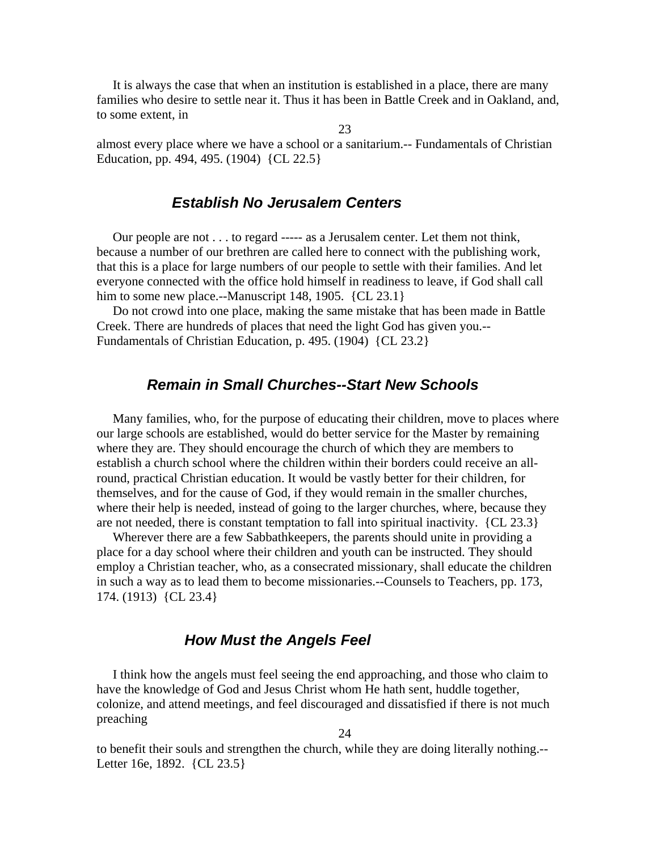It is always the case that when an institution is established in a place, there are many families who desire to settle near it. Thus it has been in Battle Creek and in Oakland, and, to some extent, in

23

almost every place where we have a school or a sanitarium.-- Fundamentals of Christian Education, pp. 494, 495. (1904) {CL 22.5}

#### *Establish No Jerusalem Centers*

 Our people are not . . . to regard ----- as a Jerusalem center. Let them not think, because a number of our brethren are called here to connect with the publishing work, that this is a place for large numbers of our people to settle with their families. And let everyone connected with the office hold himself in readiness to leave, if God shall call him to some new place.--Manuscript 148, 1905. {CL 23.1}

 Do not crowd into one place, making the same mistake that has been made in Battle Creek. There are hundreds of places that need the light God has given you.-- Fundamentals of Christian Education, p. 495. (1904) {CL 23.2}

### *Remain in Small Churches--Start New Schools*

 Many families, who, for the purpose of educating their children, move to places where our large schools are established, would do better service for the Master by remaining where they are. They should encourage the church of which they are members to establish a church school where the children within their borders could receive an allround, practical Christian education. It would be vastly better for their children, for themselves, and for the cause of God, if they would remain in the smaller churches, where their help is needed, instead of going to the larger churches, where, because they are not needed, there is constant temptation to fall into spiritual inactivity. {CL 23.3}

 Wherever there are a few Sabbathkeepers, the parents should unite in providing a place for a day school where their children and youth can be instructed. They should employ a Christian teacher, who, as a consecrated missionary, shall educate the children in such a way as to lead them to become missionaries.--Counsels to Teachers, pp. 173, 174. (1913) {CL 23.4}

#### *How Must the Angels Feel*

 I think how the angels must feel seeing the end approaching, and those who claim to have the knowledge of God and Jesus Christ whom He hath sent, huddle together, colonize, and attend meetings, and feel discouraged and dissatisfied if there is not much preaching

24

to benefit their souls and strengthen the church, while they are doing literally nothing.-- Letter 16e, 1892. {CL 23.5}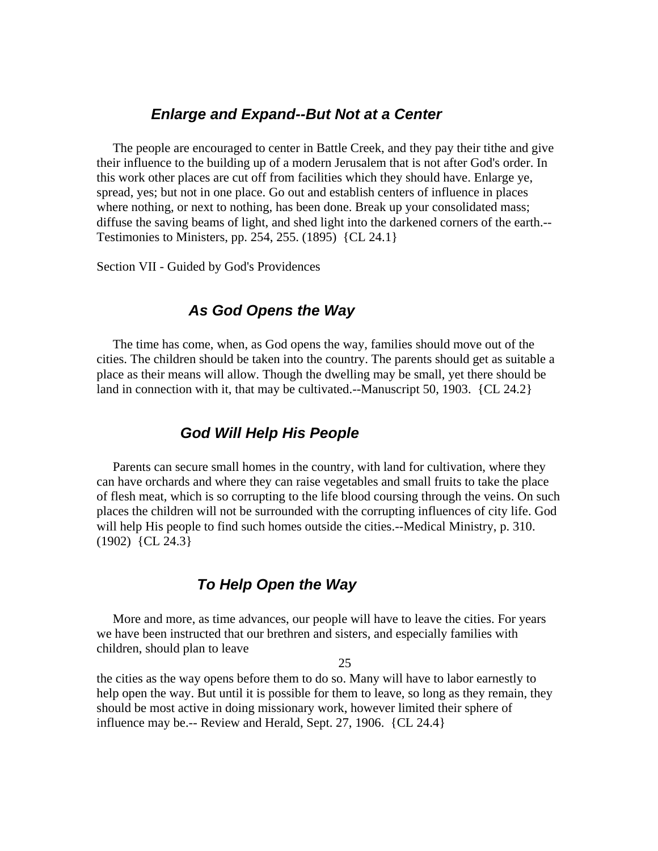#### *Enlarge and Expand--But Not at a Center*

 The people are encouraged to center in Battle Creek, and they pay their tithe and give their influence to the building up of a modern Jerusalem that is not after God's order. In this work other places are cut off from facilities which they should have. Enlarge ye, spread, yes; but not in one place. Go out and establish centers of influence in places where nothing, or next to nothing, has been done. Break up your consolidated mass; diffuse the saving beams of light, and shed light into the darkened corners of the earth.-- Testimonies to Ministers, pp. 254, 255. (1895) {CL 24.1}

Section VII - Guided by God's Providences

### *As God Opens the Way*

 The time has come, when, as God opens the way, families should move out of the cities. The children should be taken into the country. The parents should get as suitable a place as their means will allow. Though the dwelling may be small, yet there should be land in connection with it, that may be cultivated.--Manuscript 50, 1903. {CL 24.2}

### *God Will Help His People*

 Parents can secure small homes in the country, with land for cultivation, where they can have orchards and where they can raise vegetables and small fruits to take the place of flesh meat, which is so corrupting to the life blood coursing through the veins. On such places the children will not be surrounded with the corrupting influences of city life. God will help His people to find such homes outside the cities.--Medical Ministry, p. 310. (1902) {CL 24.3}

#### *To Help Open the Way*

 More and more, as time advances, our people will have to leave the cities. For years we have been instructed that our brethren and sisters, and especially families with children, should plan to leave

25

the cities as the way opens before them to do so. Many will have to labor earnestly to help open the way. But until it is possible for them to leave, so long as they remain, they should be most active in doing missionary work, however limited their sphere of influence may be.-- Review and Herald, Sept. 27, 1906. {CL 24.4}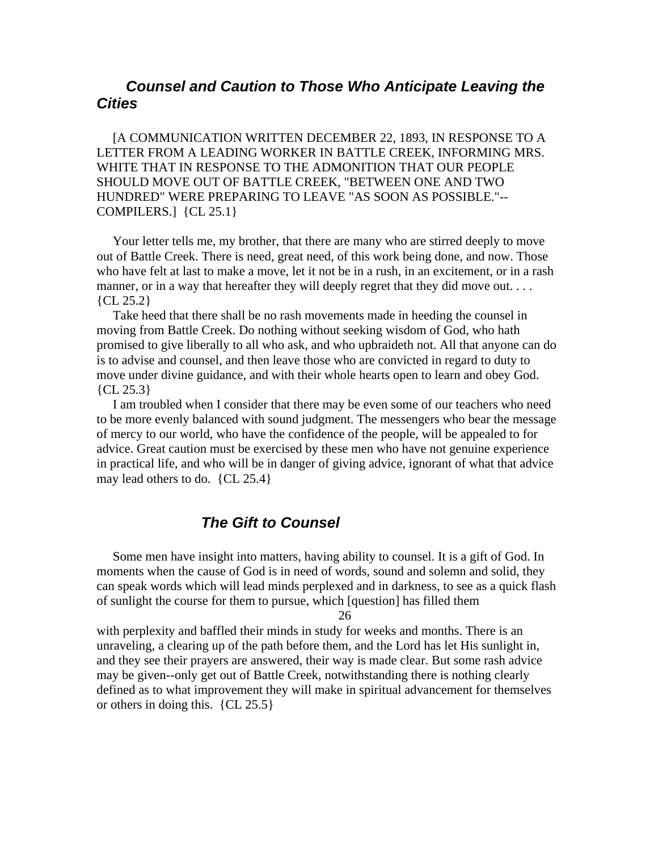### *Counsel and Caution to Those Who Anticipate Leaving the Cities*

 [A COMMUNICATION WRITTEN DECEMBER 22, 1893, IN RESPONSE TO A LETTER FROM A LEADING WORKER IN BATTLE CREEK, INFORMING MRS. WHITE THAT IN RESPONSE TO THE ADMONITION THAT OUR PEOPLE SHOULD MOVE OUT OF BATTLE CREEK, "BETWEEN ONE AND TWO HUNDRED" WERE PREPARING TO LEAVE "AS SOON AS POSSIBLE."-- COMPILERS.] {CL 25.1}

 Your letter tells me, my brother, that there are many who are stirred deeply to move out of Battle Creek. There is need, great need, of this work being done, and now. Those who have felt at last to make a move, let it not be in a rush, in an excitement, or in a rash manner, or in a way that hereafter they will deeply regret that they did move out....  ${CL} 25.2$ 

 Take heed that there shall be no rash movements made in heeding the counsel in moving from Battle Creek. Do nothing without seeking wisdom of God, who hath promised to give liberally to all who ask, and who upbraideth not. All that anyone can do is to advise and counsel, and then leave those who are convicted in regard to duty to move under divine guidance, and with their whole hearts open to learn and obey God.  ${CL} 25.3$ 

 I am troubled when I consider that there may be even some of our teachers who need to be more evenly balanced with sound judgment. The messengers who bear the message of mercy to our world, who have the confidence of the people, will be appealed to for advice. Great caution must be exercised by these men who have not genuine experience in practical life, and who will be in danger of giving advice, ignorant of what that advice may lead others to do. {CL 25.4}

### *The Gift to Counsel*

 Some men have insight into matters, having ability to counsel. It is a gift of God. In moments when the cause of God is in need of words, sound and solemn and solid, they can speak words which will lead minds perplexed and in darkness, to see as a quick flash of sunlight the course for them to pursue, which [question] has filled them 26

with perplexity and baffled their minds in study for weeks and months. There is an unraveling, a clearing up of the path before them, and the Lord has let His sunlight in, and they see their prayers are answered, their way is made clear. But some rash advice may be given--only get out of Battle Creek, notwithstanding there is nothing clearly defined as to what improvement they will make in spiritual advancement for themselves or others in doing this. {CL 25.5}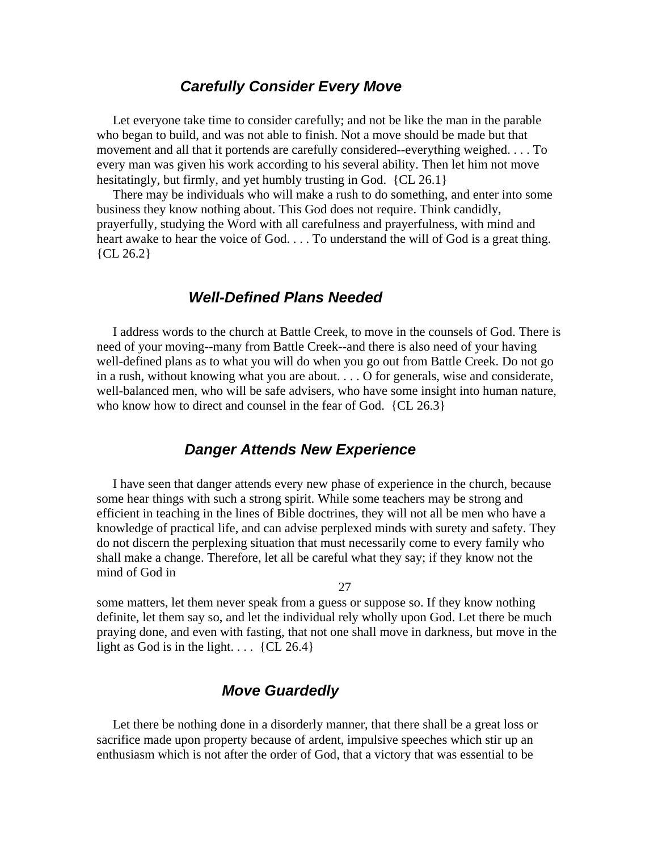### *Carefully Consider Every Move*

 Let everyone take time to consider carefully; and not be like the man in the parable who began to build, and was not able to finish. Not a move should be made but that movement and all that it portends are carefully considered--everything weighed. . . . To every man was given his work according to his several ability. Then let him not move hesitatingly, but firmly, and yet humbly trusting in God. {CL 26.1}

 There may be individuals who will make a rush to do something, and enter into some business they know nothing about. This God does not require. Think candidly, prayerfully, studying the Word with all carefulness and prayerfulness, with mind and heart awake to hear the voice of God. . . . To understand the will of God is a great thing.  ${CL} 26.2$ 

### *Well-Defined Plans Needed*

 I address words to the church at Battle Creek, to move in the counsels of God. There is need of your moving--many from Battle Creek--and there is also need of your having well-defined plans as to what you will do when you go out from Battle Creek. Do not go in a rush, without knowing what you are about. . . . O for generals, wise and considerate, well-balanced men, who will be safe advisers, who have some insight into human nature, who know how to direct and counsel in the fear of God. {CL 26.3}

#### *Danger Attends New Experience*

 I have seen that danger attends every new phase of experience in the church, because some hear things with such a strong spirit. While some teachers may be strong and efficient in teaching in the lines of Bible doctrines, they will not all be men who have a knowledge of practical life, and can advise perplexed minds with surety and safety. They do not discern the perplexing situation that must necessarily come to every family who shall make a change. Therefore, let all be careful what they say; if they know not the mind of God in

27

some matters, let them never speak from a guess or suppose so. If they know nothing definite, let them say so, and let the individual rely wholly upon God. Let there be much praying done, and even with fasting, that not one shall move in darkness, but move in the light as God is in the light.  $\ldots$  {CL 26.4}

### *Move Guardedly*

 Let there be nothing done in a disorderly manner, that there shall be a great loss or sacrifice made upon property because of ardent, impulsive speeches which stir up an enthusiasm which is not after the order of God, that a victory that was essential to be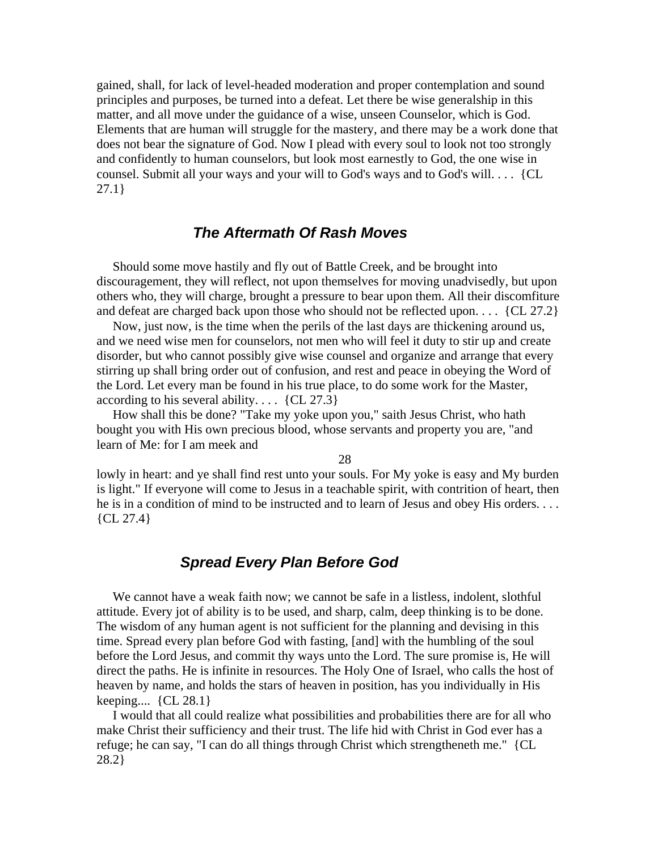gained, shall, for lack of level-headed moderation and proper contemplation and sound principles and purposes, be turned into a defeat. Let there be wise generalship in this matter, and all move under the guidance of a wise, unseen Counselor, which is God. Elements that are human will struggle for the mastery, and there may be a work done that does not bear the signature of God. Now I plead with every soul to look not too strongly and confidently to human counselors, but look most earnestly to God, the one wise in counsel. Submit all your ways and your will to God's ways and to God's will. . . . {CL 27.1}

#### *The Aftermath Of Rash Moves*

 Should some move hastily and fly out of Battle Creek, and be brought into discouragement, they will reflect, not upon themselves for moving unadvisedly, but upon others who, they will charge, brought a pressure to bear upon them. All their discomfiture and defeat are charged back upon those who should not be reflected upon. . . . {CL 27.2}

 Now, just now, is the time when the perils of the last days are thickening around us, and we need wise men for counselors, not men who will feel it duty to stir up and create disorder, but who cannot possibly give wise counsel and organize and arrange that every stirring up shall bring order out of confusion, and rest and peace in obeying the Word of the Lord. Let every man be found in his true place, to do some work for the Master, according to his several ability....  $\{CL\ 27.3\}$ 

 How shall this be done? "Take my yoke upon you," saith Jesus Christ, who hath bought you with His own precious blood, whose servants and property you are, "and learn of Me: for I am meek and

28

lowly in heart: and ye shall find rest unto your souls. For My yoke is easy and My burden is light." If everyone will come to Jesus in a teachable spirit, with contrition of heart, then he is in a condition of mind to be instructed and to learn of Jesus and obey His orders. . . .  ${CL 27.4}$ 

### *Spread Every Plan Before God*

 We cannot have a weak faith now; we cannot be safe in a listless, indolent, slothful attitude. Every jot of ability is to be used, and sharp, calm, deep thinking is to be done. The wisdom of any human agent is not sufficient for the planning and devising in this time. Spread every plan before God with fasting, [and] with the humbling of the soul before the Lord Jesus, and commit thy ways unto the Lord. The sure promise is, He will direct the paths. He is infinite in resources. The Holy One of Israel, who calls the host of heaven by name, and holds the stars of heaven in position, has you individually in His keeping.... {CL 28.1}

 I would that all could realize what possibilities and probabilities there are for all who make Christ their sufficiency and their trust. The life hid with Christ in God ever has a refuge; he can say, "I can do all things through Christ which strengtheneth me." {CL 28.2}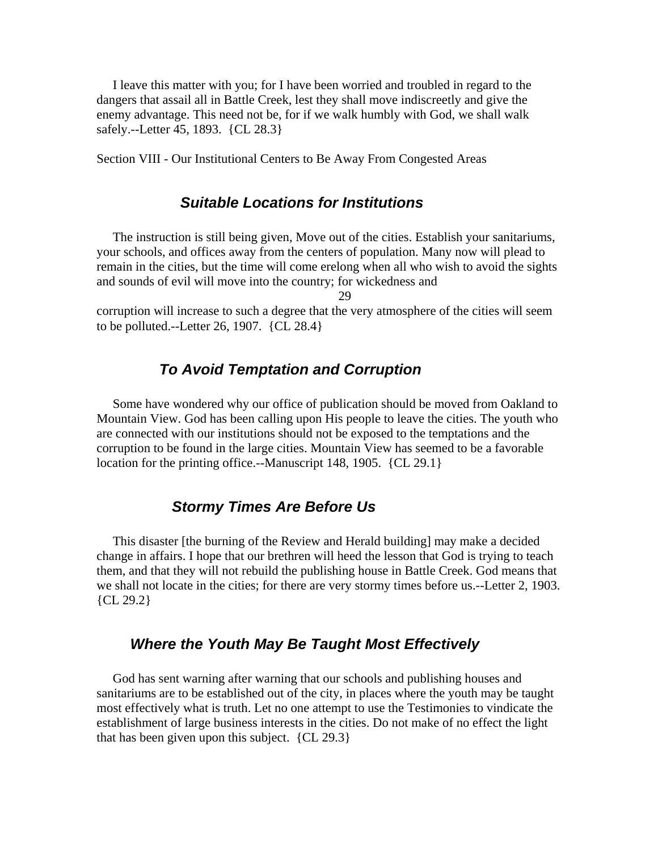I leave this matter with you; for I have been worried and troubled in regard to the dangers that assail all in Battle Creek, lest they shall move indiscreetly and give the enemy advantage. This need not be, for if we walk humbly with God, we shall walk safely.--Letter 45, 1893. {CL 28.3}

Section VIII - Our Institutional Centers to Be Away From Congested Areas

#### *Suitable Locations for Institutions*

 The instruction is still being given, Move out of the cities. Establish your sanitariums, your schools, and offices away from the centers of population. Many now will plead to remain in the cities, but the time will come erelong when all who wish to avoid the sights and sounds of evil will move into the country; for wickedness and

29

corruption will increase to such a degree that the very atmosphere of the cities will seem to be polluted.--Letter 26, 1907. {CL 28.4}

### *To Avoid Temptation and Corruption*

 Some have wondered why our office of publication should be moved from Oakland to Mountain View. God has been calling upon His people to leave the cities. The youth who are connected with our institutions should not be exposed to the temptations and the corruption to be found in the large cities. Mountain View has seemed to be a favorable location for the printing office.--Manuscript 148, 1905. {CL 29.1}

#### *Stormy Times Are Before Us*

 This disaster [the burning of the Review and Herald building] may make a decided change in affairs. I hope that our brethren will heed the lesson that God is trying to teach them, and that they will not rebuild the publishing house in Battle Creek. God means that we shall not locate in the cities; for there are very stormy times before us.--Letter 2, 1903.  ${CL 29.2}$ 

#### *Where the Youth May Be Taught Most Effectively*

 God has sent warning after warning that our schools and publishing houses and sanitariums are to be established out of the city, in places where the youth may be taught most effectively what is truth. Let no one attempt to use the Testimonies to vindicate the establishment of large business interests in the cities. Do not make of no effect the light that has been given upon this subject. {CL 29.3}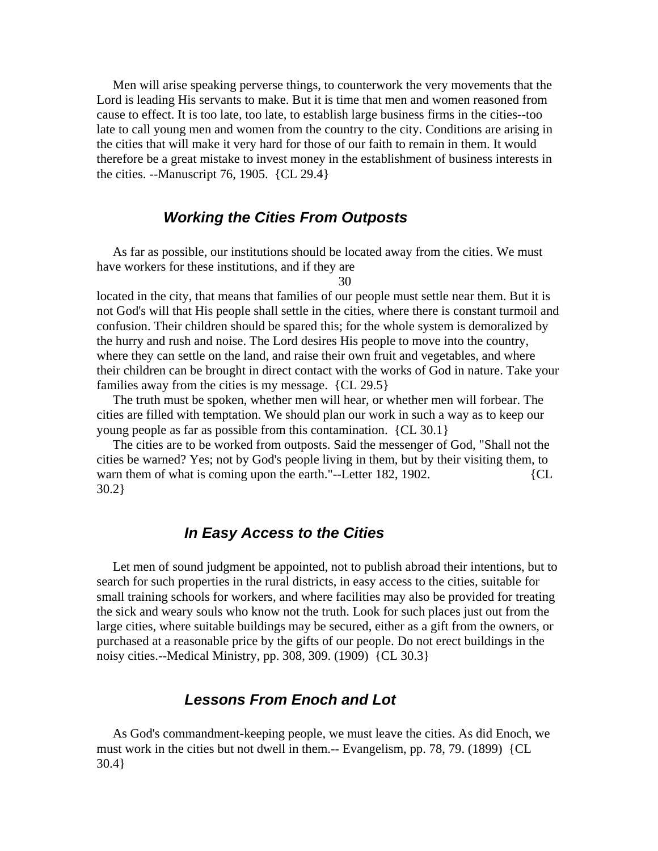Men will arise speaking perverse things, to counterwork the very movements that the Lord is leading His servants to make. But it is time that men and women reasoned from cause to effect. It is too late, too late, to establish large business firms in the cities--too late to call young men and women from the country to the city. Conditions are arising in the cities that will make it very hard for those of our faith to remain in them. It would therefore be a great mistake to invest money in the establishment of business interests in the cities. --Manuscript 76, 1905. {CL 29.4}

#### *Working the Cities From Outposts*

 As far as possible, our institutions should be located away from the cities. We must have workers for these institutions, and if they are

30

located in the city, that means that families of our people must settle near them. But it is not God's will that His people shall settle in the cities, where there is constant turmoil and confusion. Their children should be spared this; for the whole system is demoralized by the hurry and rush and noise. The Lord desires His people to move into the country, where they can settle on the land, and raise their own fruit and vegetables, and where their children can be brought in direct contact with the works of God in nature. Take your families away from the cities is my message. {CL 29.5}

 The truth must be spoken, whether men will hear, or whether men will forbear. The cities are filled with temptation. We should plan our work in such a way as to keep our young people as far as possible from this contamination. {CL 30.1}

 The cities are to be worked from outposts. Said the messenger of God, "Shall not the cities be warned? Yes; not by God's people living in them, but by their visiting them, to warn them of what is coming upon the earth."--Letter 182, 1902. 30.2}

### *In Easy Access to the Cities*

 Let men of sound judgment be appointed, not to publish abroad their intentions, but to search for such properties in the rural districts, in easy access to the cities, suitable for small training schools for workers, and where facilities may also be provided for treating the sick and weary souls who know not the truth. Look for such places just out from the large cities, where suitable buildings may be secured, either as a gift from the owners, or purchased at a reasonable price by the gifts of our people. Do not erect buildings in the noisy cities.--Medical Ministry, pp. 308, 309. (1909) {CL 30.3}

#### *Lessons From Enoch and Lot*

 As God's commandment-keeping people, we must leave the cities. As did Enoch, we must work in the cities but not dwell in them.-- Evangelism, pp. 78, 79. (1899) {CL 30.4}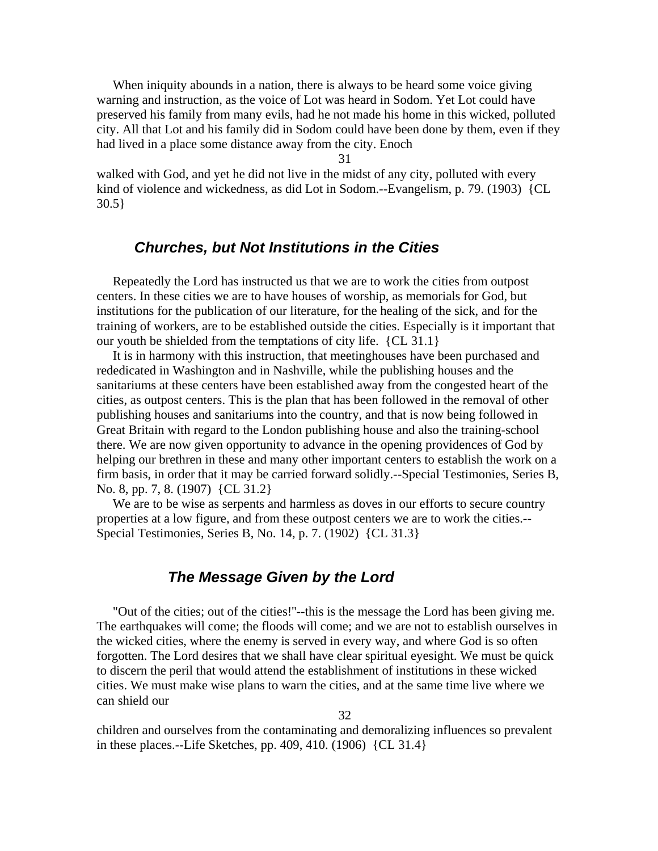When iniquity abounds in a nation, there is always to be heard some voice giving warning and instruction, as the voice of Lot was heard in Sodom. Yet Lot could have preserved his family from many evils, had he not made his home in this wicked, polluted city. All that Lot and his family did in Sodom could have been done by them, even if they had lived in a place some distance away from the city. Enoch

31

walked with God, and yet he did not live in the midst of any city, polluted with every kind of violence and wickedness, as did Lot in Sodom.--Evangelism, p. 79. (1903) {CL 30.5}

#### *Churches, but Not Institutions in the Cities*

 Repeatedly the Lord has instructed us that we are to work the cities from outpost centers. In these cities we are to have houses of worship, as memorials for God, but institutions for the publication of our literature, for the healing of the sick, and for the training of workers, are to be established outside the cities. Especially is it important that our youth be shielded from the temptations of city life. {CL 31.1}

 It is in harmony with this instruction, that meetinghouses have been purchased and rededicated in Washington and in Nashville, while the publishing houses and the sanitariums at these centers have been established away from the congested heart of the cities, as outpost centers. This is the plan that has been followed in the removal of other publishing houses and sanitariums into the country, and that is now being followed in Great Britain with regard to the London publishing house and also the training-school there. We are now given opportunity to advance in the opening providences of God by helping our brethren in these and many other important centers to establish the work on a firm basis, in order that it may be carried forward solidly.--Special Testimonies, Series B, No. 8, pp. 7, 8. (1907) {CL 31.2}

 We are to be wise as serpents and harmless as doves in our efforts to secure country properties at a low figure, and from these outpost centers we are to work the cities.-- Special Testimonies, Series B, No. 14, p. 7. (1902) {CL 31.3}

### *The Message Given by the Lord*

 "Out of the cities; out of the cities!''--this is the message the Lord has been giving me. The earthquakes will come; the floods will come; and we are not to establish ourselves in the wicked cities, where the enemy is served in every way, and where God is so often forgotten. The Lord desires that we shall have clear spiritual eyesight. We must be quick to discern the peril that would attend the establishment of institutions in these wicked cities. We must make wise plans to warn the cities, and at the same time live where we can shield our

32

children and ourselves from the contaminating and demoralizing influences so prevalent in these places.--Life Sketches, pp. 409, 410. (1906) {CL 31.4}